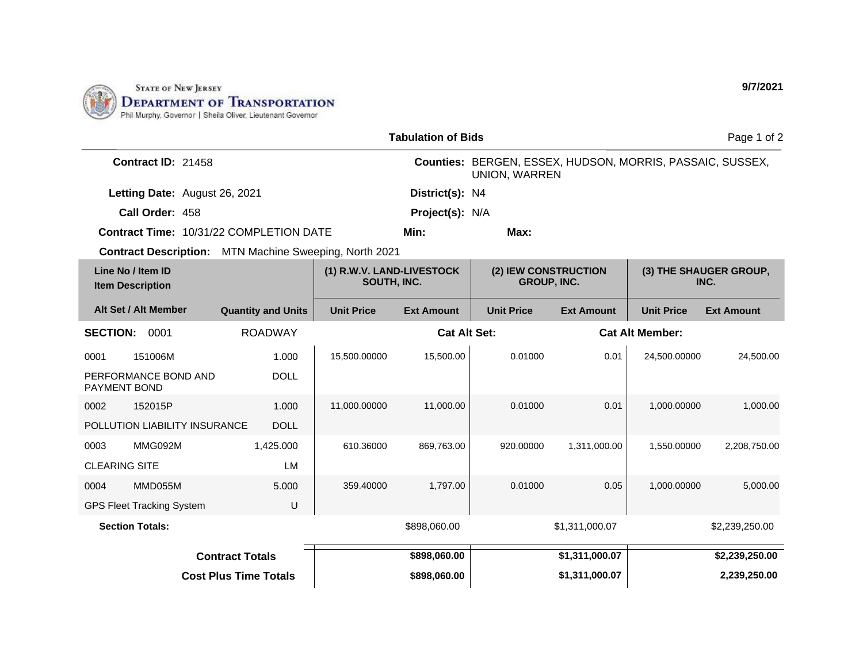

|                                                        |                           |                                          | <b>Tabulation of Bids</b> |                                                                                   |                   |                        | Page 1 of 2                    |
|--------------------------------------------------------|---------------------------|------------------------------------------|---------------------------|-----------------------------------------------------------------------------------|-------------------|------------------------|--------------------------------|
| Contract ID: 21458                                     |                           |                                          |                           | Counties: BERGEN, ESSEX, HUDSON, MORRIS, PASSAIC, SUSSEX,<br><b>UNION, WARREN</b> |                   |                        |                                |
| Letting Date: August 26, 2021                          |                           |                                          | District(s): N4           |                                                                                   |                   |                        |                                |
| Call Order: 458                                        |                           |                                          | Project(s): N/A           |                                                                                   |                   |                        |                                |
| <b>Contract Time: 10/31/22 COMPLETION DATE</b>         |                           |                                          | Min:                      | Max:                                                                              |                   |                        |                                |
| Contract Description: MTN Machine Sweeping, North 2021 |                           |                                          |                           |                                                                                   |                   |                        |                                |
| Line No / Item ID<br><b>Item Description</b>           |                           | (1) R.W.V. LAND-LIVESTOCK<br>SOUTH, INC. |                           | (2) IEW CONSTRUCTION<br><b>GROUP, INC.</b>                                        |                   |                        | (3) THE SHAUGER GROUP,<br>INC. |
| Alt Set / Alt Member                                   | <b>Quantity and Units</b> | <b>Unit Price</b>                        | <b>Ext Amount</b>         | <b>Unit Price</b>                                                                 | <b>Ext Amount</b> | <b>Unit Price</b>      | <b>Ext Amount</b>              |
| <b>SECTION:</b><br>0001                                | <b>ROADWAY</b>            |                                          | <b>Cat Alt Set:</b>       |                                                                                   |                   | <b>Cat Alt Member:</b> |                                |
| 151006M<br>0001                                        | 1.000                     | 15,500.00000                             | 15,500.00                 | 0.01000                                                                           | 0.01              | 24,500.00000           | 24,500.00                      |
| PERFORMANCE BOND AND<br><b>PAYMENT BOND</b>            | <b>DOLL</b>               |                                          |                           |                                                                                   |                   |                        |                                |
| 152015P<br>0002                                        | 1.000                     | 11,000.00000                             | 11,000.00                 | 0.01000                                                                           | 0.01              | 1,000.00000            | 1,000.00                       |
| POLLUTION LIABILITY INSURANCE                          | <b>DOLL</b>               |                                          |                           |                                                                                   |                   |                        |                                |
| MMG092M<br>0003                                        | 1,425.000                 | 610.36000                                | 869,763.00                | 920.00000                                                                         | 1,311,000.00      | 1,550.00000            | 2,208,750.00                   |
| <b>CLEARING SITE</b>                                   | LM                        |                                          |                           |                                                                                   |                   |                        |                                |
| MMD055M<br>0004                                        | 5.000                     | 359.40000                                | 1,797.00                  | 0.01000                                                                           | 0.05              | 1,000.00000            | 5,000.00                       |
| <b>GPS Fleet Tracking System</b>                       | U                         |                                          |                           |                                                                                   |                   |                        |                                |
| <b>Section Totals:</b>                                 |                           |                                          | \$898,060.00              |                                                                                   | \$1,311,000.07    |                        | \$2,239,250.00                 |
| <b>Contract Totals</b>                                 |                           |                                          | \$898,060.00              |                                                                                   | \$1,311,000.07    |                        | \$2,239,250.00                 |
| <b>Cost Plus Time Totals</b>                           |                           |                                          | \$898,060.00              |                                                                                   | \$1,311,000.07    |                        | 2,239,250.00                   |

**9/7/2021**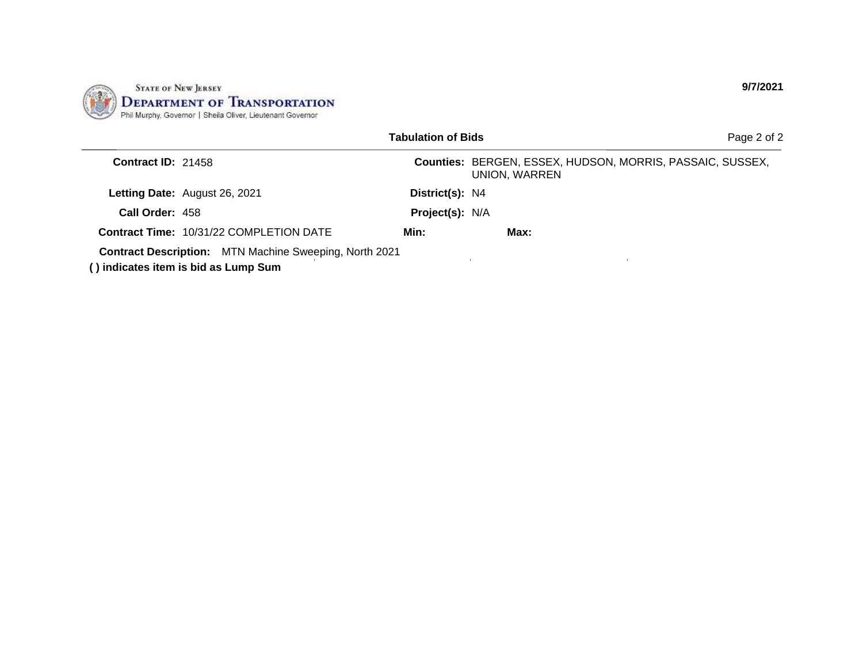

|                    |                                                                                                | <b>Tabulation of Bids</b> |                                                                            | Page 2 of 2 |
|--------------------|------------------------------------------------------------------------------------------------|---------------------------|----------------------------------------------------------------------------|-------------|
| Contract ID: 21458 |                                                                                                |                           | Counties: BERGEN, ESSEX, HUDSON, MORRIS, PASSAIC, SUSSEX,<br>UNION, WARREN |             |
|                    | Letting Date: August 26, 2021                                                                  | District(s): N4           |                                                                            |             |
| Call Order: 458    |                                                                                                | Project(s): N/A           |                                                                            |             |
|                    | <b>Contract Time: 10/31/22 COMPLETION DATE</b>                                                 | Min:                      | Max:                                                                       |             |
|                    | Contract Description: MTN Machine Sweeping, North 2021<br>() indicates item is bid as Lump Sum |                           |                                                                            |             |